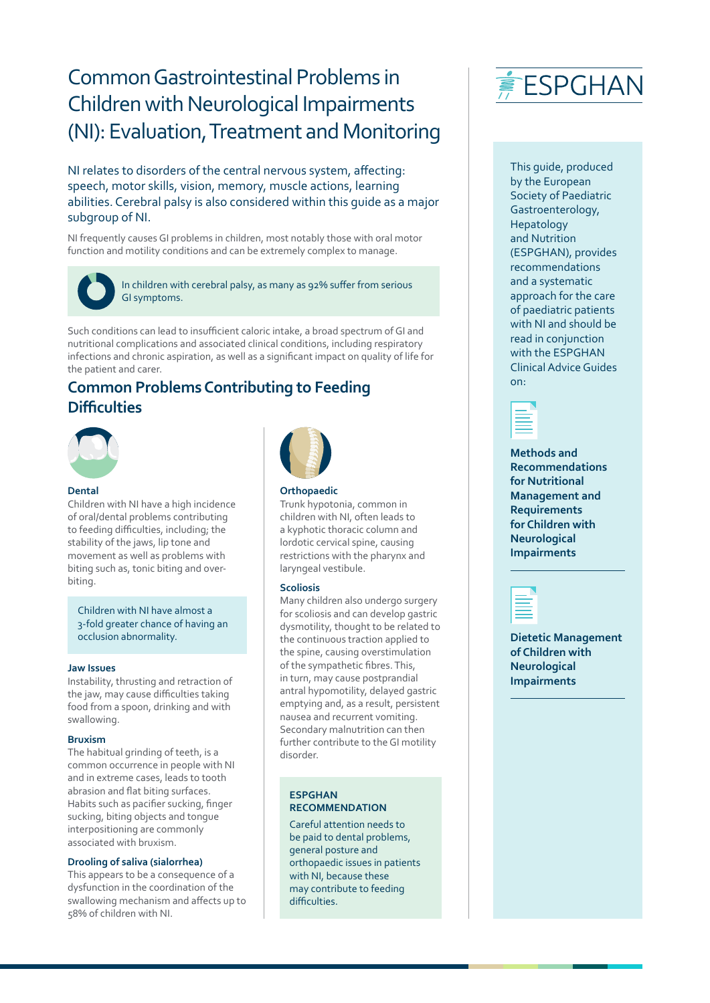# Common Gastrointestinal Problems in Children with Neurological Impairments (NI): Evaluation, Treatment and Monitoring

NI relates to disorders of the central nervous system, affecting: speech, motor skills, vision, memory, muscle actions, learning abilities. Cerebral palsy is also considered within this guide as a major subgroup of NI.

NI frequently causes GI problems in children, most notably those with oral motor function and motility conditions and can be extremely complex to manage.



In children with cerebral palsy, as many as 92% suffer from serious GI symptoms.

Such conditions can lead to insufficient caloric intake, a broad spectrum of GI and nutritional complications and associated clinical conditions, including respiratory infections and chronic aspiration, as well as a significant impact on quality of life for the patient and carer.

## **Common Problems Contributing to Feeding Difficulties**



## **Dental**

Children with NI have a high incidence of oral/dental problems contributing to feeding difficulties, including; the stability of the jaws, lip tone and movement as well as problems with biting such as, tonic biting and overbiting.

Children with NI have almost a 3-fold greater chance of having an occlusion abnormality.

### **Jaw Issues**

Instability, thrusting and retraction of the jaw, may cause difficulties taking food from a spoon, drinking and with swallowing.

### **Bruxism**

The habitual grinding of teeth, is a common occurrence in people with NI and in extreme cases, leads to tooth abrasion and flat biting surfaces. Habits such as pacifier sucking, finger sucking, biting objects and tongue interpositioning are commonly associated with bruxism.

### **Drooling of saliva (sialorrhea)**

This appears to be a consequence of a dysfunction in the coordination of the swallowing mechanism and affects up to 58% of children with NI.



## **Orthopaedic**

Trunk hypotonia, common in children with NI, often leads to a kyphotic thoracic column and lordotic cervical spine, causing restrictions with the pharynx and laryngeal vestibule.

### **Scoliosis**

Many children also undergo surgery for scoliosis and can develop gastric dysmotility, thought to be related to the continuous traction applied to the spine, causing overstimulation of the sympathetic fibres. This, in turn, may cause postprandial antral hypomotility, delayed gastric emptying and, as a result, persistent nausea and recurrent vomiting. Secondary malnutrition can then further contribute to the GI motility disorder.

## **ESPGHAN RECOMMENDATION**

Careful attention needs to be paid to dental problems, general posture and orthopaedic issues in patients with NI, because these may contribute to feeding difficulties.



This guide, produced by the European Society of Paediatric Gastroenterology, Hepatology and Nutrition (ESPGHAN), provides recommendations and a systematic approach for the care of paediatric patients with NI and should be read in conjunction with the ESPGHAN Clinical Advice Guides on:

|  |  |  | ╲ |
|--|--|--|---|
|  |  |  |   |
|  |  |  |   |
|  |  |  |   |
|  |  |  |   |
|  |  |  |   |
|  |  |  |   |
|  |  |  |   |
|  |  |  |   |

**Methods and Recommendations for Nutritional Management and Requirements for Children with Neurological Impairments**



**Dietetic Management of Children with Neurological Impairments**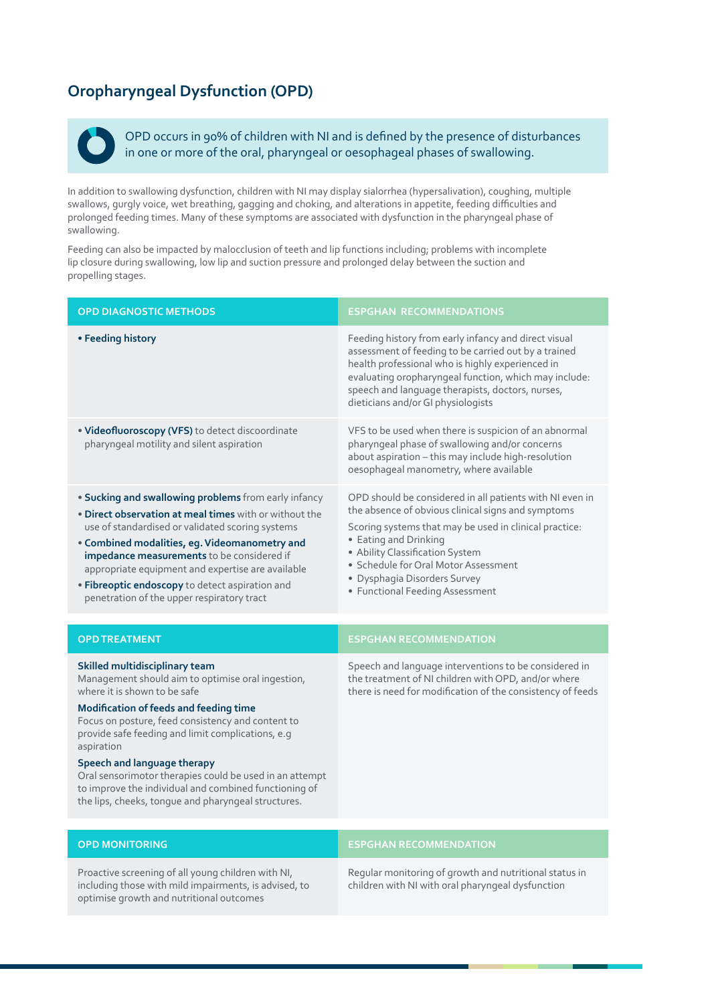## **Oropharyngeal Dysfunction (OPD)**



OPD occurs in 90% of children with NI and is defined by the presence of disturbances in one or more of the oral, pharyngeal or oesophageal phases of swallowing.

In addition to swallowing dysfunction, children with NI may display sialorrhea (hypersalivation), coughing, multiple swallows, gurgly voice, wet breathing, gagging and choking, and alterations in appetite, feeding difficulties and prolonged feeding times. Many of these symptoms are associated with dysfunction in the pharyngeal phase of swallowing.

Feeding can also be impacted by malocclusion of teeth and lip functions including; problems with incomplete lip closure during swallowing, low lip and suction pressure and prolonged delay between the suction and propelling stages.

| <b>OPD DIAGNOSTIC METHODS</b>                                                                                                                                                                                                                                                                                                                                                                                                                                                                   | <b>ESPGHAN RECOMMENDATIONS</b>                                                                                                                                                                                                                                                                                                                  |
|-------------------------------------------------------------------------------------------------------------------------------------------------------------------------------------------------------------------------------------------------------------------------------------------------------------------------------------------------------------------------------------------------------------------------------------------------------------------------------------------------|-------------------------------------------------------------------------------------------------------------------------------------------------------------------------------------------------------------------------------------------------------------------------------------------------------------------------------------------------|
| • Feeding history                                                                                                                                                                                                                                                                                                                                                                                                                                                                               | Feeding history from early infancy and direct visual<br>assessment of feeding to be carried out by a trained<br>health professional who is highly experienced in<br>evaluating oropharyngeal function, which may include:<br>speech and language therapists, doctors, nurses,<br>dieticians and/or GI physiologists                             |
| . Videofluoroscopy (VFS) to detect discoordinate<br>pharyngeal motility and silent aspiration                                                                                                                                                                                                                                                                                                                                                                                                   | VFS to be used when there is suspicion of an abnormal<br>pharyngeal phase of swallowing and/or concerns<br>about aspiration - this may include high-resolution<br>oesophageal manometry, where available                                                                                                                                        |
| . Sucking and swallowing problems from early infancy<br>. Direct observation at meal times with or without the<br>use of standardised or validated scoring systems<br>• Combined modalities, eg. Videomanometry and<br>impedance measurements to be considered if<br>appropriate equipment and expertise are available<br>· Fibreoptic endoscopy to detect aspiration and<br>penetration of the upper respiratory tract                                                                         | OPD should be considered in all patients with NI even in<br>the absence of obvious clinical signs and symptoms<br>Scoring systems that may be used in clinical practice:<br>• Eating and Drinking<br>• Ability Classification System<br>· Schedule for Oral Motor Assessment<br>· Dysphagia Disorders Survey<br>• Functional Feeding Assessment |
| <b>OPD TREATMENT</b>                                                                                                                                                                                                                                                                                                                                                                                                                                                                            | <b>ESPGHAN RECOMMENDATION</b>                                                                                                                                                                                                                                                                                                                   |
| Skilled multidisciplinary team<br>Management should aim to optimise oral ingestion,<br>where it is shown to be safe<br>Modification of feeds and feeding time<br>Focus on posture, feed consistency and content to<br>provide safe feeding and limit complications, e.g<br>aspiration<br>Speech and language therapy<br>Oral sensorimotor therapies could be used in an attempt<br>to improve the individual and combined functioning of<br>the lips, cheeks, tongue and pharyngeal structures. | Speech and language interventions to be considered in<br>the treatment of NI children with OPD, and/or where<br>there is need for modification of the consistency of feeds                                                                                                                                                                      |

Proactive screening of all young children with NI, including those with mild impairments, is advised, to optimise growth and nutritional outcomes

## **OPD MONITORING EXPLORER STATES IN A RECOMMENDATION**

Regular monitoring of growth and nutritional status in children with NI with oral pharyngeal dysfunction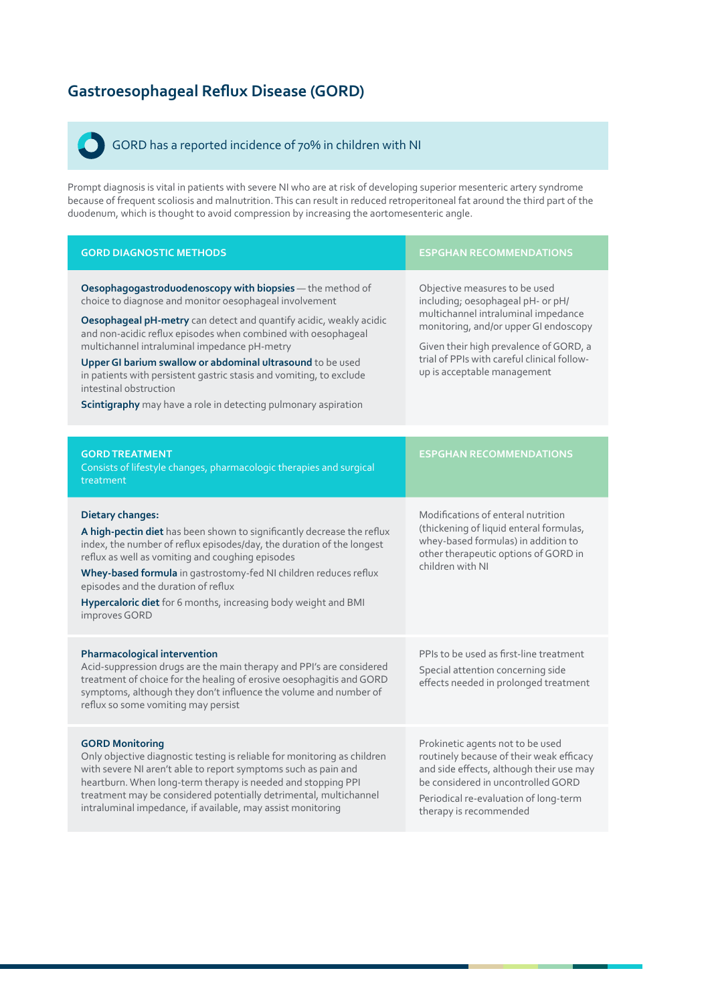## **Gastroesophageal Reflux Disease (GORD)**

## GORD has a reported incidence of 70% in children with NI

Prompt diagnosis is vital in patients with severe NI who are at risk of developing superior mesenteric artery syndrome because of frequent scoliosis and malnutrition. This can result in reduced retroperitoneal fat around the third part of the duodenum, which is thought to avoid compression by increasing the aortomesenteric angle.

| <b>GORD DIAGNOSTIC METHODS</b>                                                                                                                                                                                                                                                                                                                                                                                                                                                                                                              | <b>ESPGHAN RECOMMENDATIONS</b>                                                                                                                                                                                                                                             |  |
|---------------------------------------------------------------------------------------------------------------------------------------------------------------------------------------------------------------------------------------------------------------------------------------------------------------------------------------------------------------------------------------------------------------------------------------------------------------------------------------------------------------------------------------------|----------------------------------------------------------------------------------------------------------------------------------------------------------------------------------------------------------------------------------------------------------------------------|--|
| Oesophagogastroduodenoscopy with biopsies - the method of<br>choice to diagnose and monitor oesophageal involvement<br>Oesophageal pH-metry can detect and quantify acidic, weakly acidic<br>and non-acidic reflux episodes when combined with oesophageal<br>multichannel intraluminal impedance pH-metry<br>Upper GI barium swallow or abdominal ultrasound to be used<br>in patients with persistent gastric stasis and vomiting, to exclude<br>intestinal obstruction<br>Scintigraphy may have a role in detecting pulmonary aspiration | Objective measures to be used<br>including; oesophageal pH- or pH/<br>multichannel intraluminal impedance<br>monitoring, and/or upper GI endoscopy<br>Given their high prevalence of GORD, a<br>trial of PPIs with careful clinical follow-<br>up is acceptable management |  |
| <b>GORD TREATMENT</b><br>Consists of lifestyle changes, pharmacologic therapies and surgical<br>treatment                                                                                                                                                                                                                                                                                                                                                                                                                                   | <b>ESPGHAN RECOMMENDATIONS</b>                                                                                                                                                                                                                                             |  |
| <b>Dietary changes:</b><br>A high-pectin diet has been shown to significantly decrease the reflux<br>index, the number of reflux episodes/day, the duration of the longest<br>reflux as well as vomiting and coughing episodes<br>Whey-based formula in gastrostomy-fed NI children reduces reflux<br>episodes and the duration of reflux<br>Hypercaloric diet for 6 months, increasing body weight and BMI<br>improves GORD                                                                                                                | Modifications of enteral nutrition<br>(thickening of liquid enteral formulas,<br>whey-based formulas) in addition to<br>other therapeutic options of GORD in<br>children with NI                                                                                           |  |
| Pharmacological intervention<br>Acid-suppression drugs are the main therapy and PPI's are considered<br>treatment of choice for the healing of erosive oesophagitis and GORD<br>symptoms, although they don't influence the volume and number of<br>reflux so some vomiting may persist                                                                                                                                                                                                                                                     | PPIs to be used as first-line treatment<br>Special attention concerning side<br>effects needed in prolonged treatment                                                                                                                                                      |  |
| <b>GORD Monitoring</b><br>Only objective diagnostic testing is reliable for monitoring as children<br>with severe NI aren't able to report symptoms such as pain and<br>heartburn. When long-term therapy is needed and stopping PPI<br>treatment may be considered potentially detrimental, multichannel<br>intraluminal impedance, if available, may assist monitoring                                                                                                                                                                    | Prokinetic agents not to be used<br>routinely because of their weak efficacy<br>and side effects, although their use may<br>be considered in uncontrolled GORD<br>Periodical re-evaluation of long-term<br>therapy is recommended                                          |  |